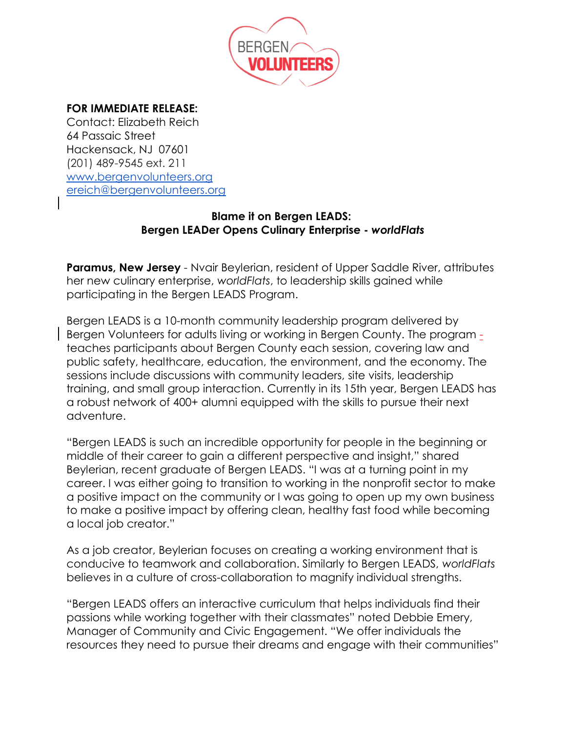

## **FOR IMMEDIATE RELEASE:**

Contact: Elizabeth Reich 64 Passaic Street Hackensack, NJ 07601 (201) 489-9545 ext. 211 [www.bergenvolunteers.org](http://www.bergenvolunteers.org/) [ereich@bergenvolunteers.org](mailto:ereich@bergenvolunteers.org)

## **Blame it on Bergen LEADS: Bergen LEADer Opens Culinary Enterprise -** *worldFlats*

**Paramus, New Jersey** - Nyair Beylerian, resident of Upper Saddle River, attributes her new culinary enterprise, *worldFlats*, to leadership skills gained while participating in the Bergen LEADS Program.

Bergen LEADS is a 10-month community leadership program delivered by Bergen Volunteers for adults living or working in Bergen County. The program teaches participants about Bergen County each session, covering law and public safety, healthcare, education, the environment, and the economy. The sessions include discussions with community leaders, site visits, leadership training, and small group interaction. Currently in its 15th year, Bergen LEADS has a robust network of 400+ alumni equipped with the skills to pursue their next adventure.

"Bergen LEADS is such an incredible opportunity for people in the beginning or middle of their career to gain a different perspective and insight," shared Beylerian, recent graduate of Bergen LEADS. "I was at a turning point in my career. I was either going to transition to working in the nonprofit sector to make a positive impact on the community or I was going to open up my own business to make a positive impact by offering clean, healthy fast food while becoming a local job creator."

As a job creator, Beylerian focuses on creating a working environment that is conducive to teamwork and collaboration. Similarly to Bergen LEADS, *worldFlats* believes in a culture of cross-collaboration to magnify individual strengths.

"Bergen LEADS offers an interactive curriculum that helps individuals find their passions while working together with their classmates" noted Debbie Emery, Manager of Community and Civic Engagement. "We offer individuals the resources they need to pursue their dreams and engage with their communities"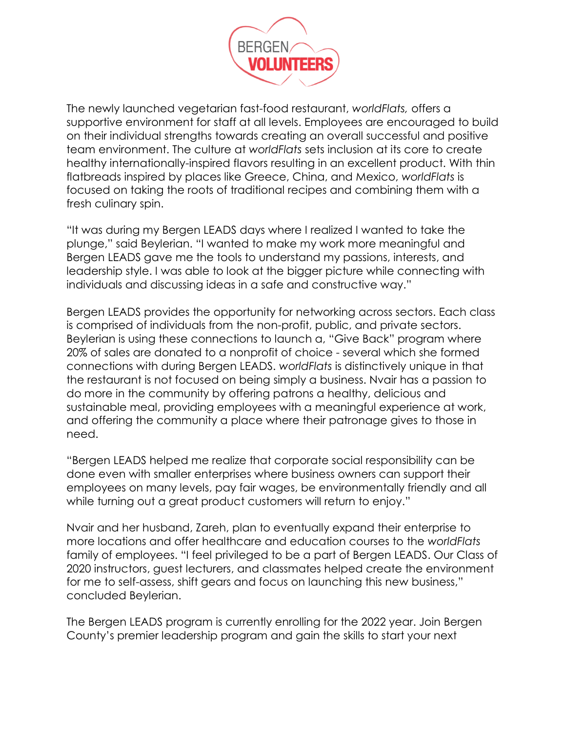

The newly launched vegetarian fast-food restaurant, *worldFlats,* offers a supportive environment for staff at all levels. Employees are encouraged to build on their individual strengths towards creating an overall successful and positive team environment. The culture at *worldFlats* sets inclusion at its core to create healthy internationally-inspired flavors resulting in an excellent product. With thin flatbreads inspired by places like Greece, China, and Mexico, *worldFlats* is focused on taking the roots of traditional recipes and combining them with a fresh culinary spin.

"It was during my Bergen LEADS days where I realized I wanted to take the plunge," said Beylerian. "I wanted to make my work more meaningful and Bergen LEADS gave me the tools to understand my passions, interests, and leadership style. I was able to look at the bigger picture while connecting with individuals and discussing ideas in a safe and constructive way."

Bergen LEADS provides the opportunity for networking across sectors. Each class is comprised of individuals from the non-profit, public, and private sectors. Beylerian is using these connections to launch a, "Give Back" program where 20% of sales are donated to a nonprofit of choice - several which she formed connections with during Bergen LEADS. *worldFlats* is distinctively unique in that the restaurant is not focused on being simply a business. Nvair has a passion to do more in the community by offering patrons a healthy, delicious and sustainable meal, providing employees with a meaningful experience at work, and offering the community a place where their patronage gives to those in need.

"Bergen LEADS helped me realize that corporate social responsibility can be done even with smaller enterprises where business owners can support their employees on many levels, pay fair wages, be environmentally friendly and all while turning out a great product customers will return to enjoy."

Nvair and her husband, Zareh, plan to eventually expand their enterprise to more locations and offer healthcare and education courses to the *worldFlats* family of employees. "I feel privileged to be a part of Bergen LEADS. Our Class of 2020 instructors, guest lecturers, and classmates helped create the environment for me to self-assess, shift gears and focus on launching this new business," concluded Beylerian.

The Bergen LEADS program is currently enrolling for the 2022 year. Join Bergen County's premier leadership program and gain the skills to start your next